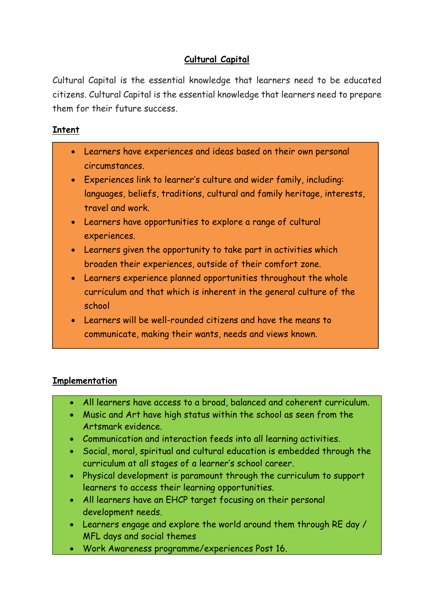# Cultural Capital

Cultural Capital is the essential knowledge that learners need to be educated citizens. Cultural Capital is the essential knowledge that learners need to prepare them for their future success.

### Intent

- Learners have experiences and ideas based on their own personal circumstances.
- Experiences link to learner's culture and wider family, including: languages, beliefs, traditions, cultural and family heritage, interests, travel and work.
- Learners have opportunities to explore a range of cultural experiences.
- Learners given the opportunity to take part in activities which broaden their experiences, outside of their comfort zone.
- Learners experience planned opportunities throughout the whole curriculum and that which is inherent in the general culture of the school
- Learners will be well-rounded citizens and have the means to communicate, making their wants, needs and views known.

# **Implementation**

- All learners have access to a broad, balanced and coherent curriculum.
- Music and Art have high status within the school as seen from the Artsmark evidence.
- Communication and interaction feeds into all learning activities.
- Social, moral, spiritual and cultural education is embedded through the curriculum at all stages of a learner's school career.
- Physical development is paramount through the curriculum to support learners to access their learning opportunities.
- All learners have an EHCP target focusing on their personal development needs.
- Learners engage and explore the world around them through RE day / MFL days and social themes
- Work Awareness programme/experiences Post 16.